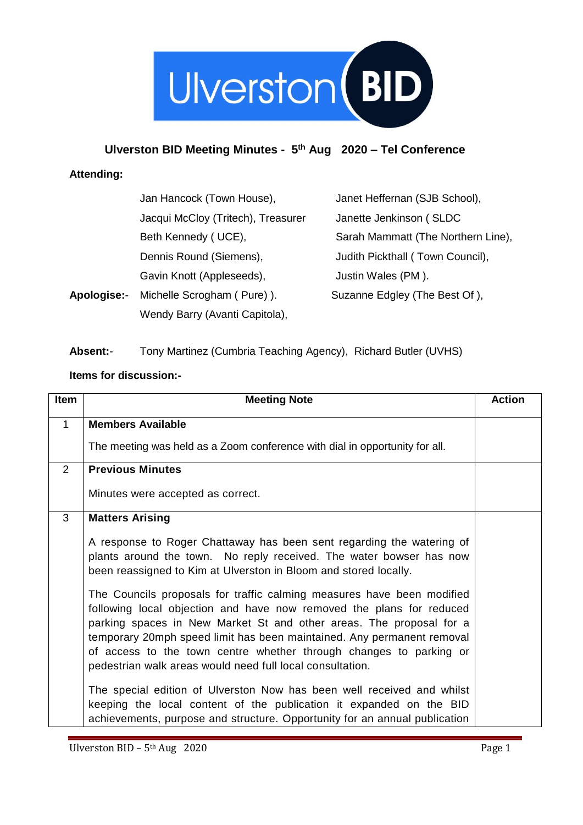

#### **Ulverston BID Meeting Minutes - 5 th Aug 2020 – Tel Conference**

#### **Attending:**

|                    | Jan Hancock (Town House),          | Janet Heffernan (SJB School),      |
|--------------------|------------------------------------|------------------------------------|
|                    | Jacqui McCloy (Tritech), Treasurer | Janette Jenkinson (SLDC            |
|                    | Beth Kennedy (UCE),                | Sarah Mammatt (The Northern Line), |
|                    | Dennis Round (Siemens),            | Judith Pickthall (Town Council),   |
|                    | Gavin Knott (Appleseeds),          | Justin Wales (PM).                 |
| <b>Apologise:-</b> | Michelle Scrogham (Pure)).         | Suzanne Edgley (The Best Of),      |
|                    | Wendy Barry (Avanti Capitola),     |                                    |

#### **Absent:**- Tony Martinez (Cumbria Teaching Agency), Richard Butler (UVHS)

#### **Items for discussion:-**

| <b>Item</b>    | <b>Meeting Note</b>                                                                                                                                                                                                                                                                                                                                                                                                                | <b>Action</b> |
|----------------|------------------------------------------------------------------------------------------------------------------------------------------------------------------------------------------------------------------------------------------------------------------------------------------------------------------------------------------------------------------------------------------------------------------------------------|---------------|
| $\mathbf{1}$   | <b>Members Available</b>                                                                                                                                                                                                                                                                                                                                                                                                           |               |
|                | The meeting was held as a Zoom conference with dial in opportunity for all.                                                                                                                                                                                                                                                                                                                                                        |               |
| $\overline{2}$ | <b>Previous Minutes</b>                                                                                                                                                                                                                                                                                                                                                                                                            |               |
|                | Minutes were accepted as correct.                                                                                                                                                                                                                                                                                                                                                                                                  |               |
| 3              | <b>Matters Arising</b>                                                                                                                                                                                                                                                                                                                                                                                                             |               |
|                | A response to Roger Chattaway has been sent regarding the watering of<br>plants around the town. No reply received. The water bowser has now<br>been reassigned to Kim at Ulverston in Bloom and stored locally.                                                                                                                                                                                                                   |               |
|                | The Councils proposals for traffic calming measures have been modified<br>following local objection and have now removed the plans for reduced<br>parking spaces in New Market St and other areas. The proposal for a<br>temporary 20mph speed limit has been maintained. Any permanent removal<br>of access to the town centre whether through changes to parking or<br>pedestrian walk areas would need full local consultation. |               |
|                | The special edition of Ulverston Now has been well received and whilst<br>keeping the local content of the publication it expanded on the BID<br>achievements, purpose and structure. Opportunity for an annual publication                                                                                                                                                                                                        |               |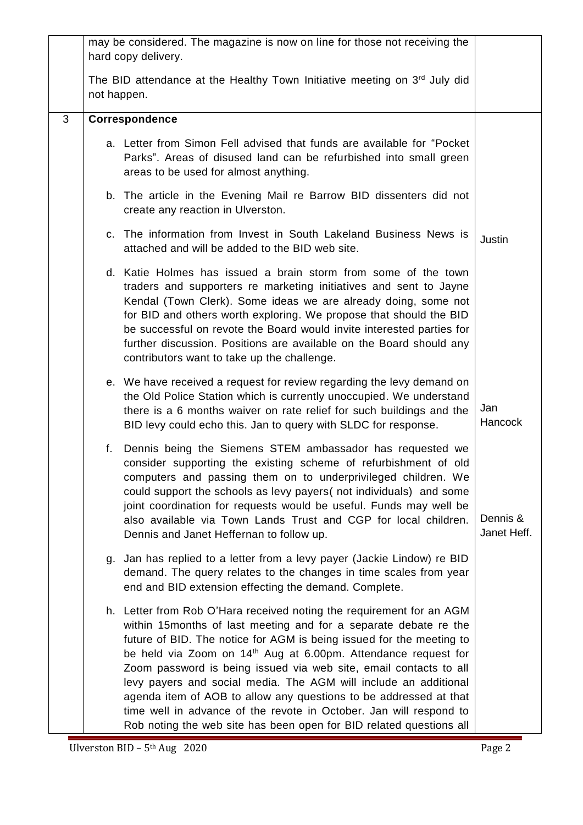|   | may be considered. The magazine is now on line for those not receiving the<br>hard copy delivery.    |                                                                                                                                                                                                                                                                                                                                                                                                                                                                                                                                                                                                                                                           |                         |
|---|------------------------------------------------------------------------------------------------------|-----------------------------------------------------------------------------------------------------------------------------------------------------------------------------------------------------------------------------------------------------------------------------------------------------------------------------------------------------------------------------------------------------------------------------------------------------------------------------------------------------------------------------------------------------------------------------------------------------------------------------------------------------------|-------------------------|
|   | The BID attendance at the Healthy Town Initiative meeting on 3 <sup>rd</sup> July did<br>not happen. |                                                                                                                                                                                                                                                                                                                                                                                                                                                                                                                                                                                                                                                           |                         |
| 3 |                                                                                                      | Correspondence                                                                                                                                                                                                                                                                                                                                                                                                                                                                                                                                                                                                                                            |                         |
|   |                                                                                                      | a. Letter from Simon Fell advised that funds are available for "Pocket"<br>Parks". Areas of disused land can be refurbished into small green<br>areas to be used for almost anything.                                                                                                                                                                                                                                                                                                                                                                                                                                                                     |                         |
|   |                                                                                                      | b. The article in the Evening Mail re Barrow BID dissenters did not<br>create any reaction in Ulverston.                                                                                                                                                                                                                                                                                                                                                                                                                                                                                                                                                  |                         |
|   |                                                                                                      | c. The information from Invest in South Lakeland Business News is<br>attached and will be added to the BID web site.                                                                                                                                                                                                                                                                                                                                                                                                                                                                                                                                      | Justin                  |
|   |                                                                                                      | d. Katie Holmes has issued a brain storm from some of the town<br>traders and supporters re marketing initiatives and sent to Jayne<br>Kendal (Town Clerk). Some ideas we are already doing, some not<br>for BID and others worth exploring. We propose that should the BID<br>be successful on revote the Board would invite interested parties for<br>further discussion. Positions are available on the Board should any<br>contributors want to take up the challenge.                                                                                                                                                                                |                         |
|   |                                                                                                      | e. We have received a request for review regarding the levy demand on<br>the Old Police Station which is currently unoccupied. We understand<br>there is a 6 months waiver on rate relief for such buildings and the<br>BID levy could echo this. Jan to query with SLDC for response.                                                                                                                                                                                                                                                                                                                                                                    | Jan<br><b>Hancock</b>   |
|   | f.                                                                                                   | Dennis being the Siemens STEM ambassador has requested we<br>consider supporting the existing scheme of refurbishment of old<br>computers and passing them on to underprivileged children. We<br>could support the schools as levy payers (not individuals) and some<br>joint coordination for requests would be useful. Funds may well be<br>also available via Town Lands Trust and CGP for local children.<br>Dennis and Janet Heffernan to follow up.                                                                                                                                                                                                 | Dennis &<br>Janet Heff. |
|   |                                                                                                      | g. Jan has replied to a letter from a levy payer (Jackie Lindow) re BID<br>demand. The query relates to the changes in time scales from year<br>end and BID extension effecting the demand. Complete.                                                                                                                                                                                                                                                                                                                                                                                                                                                     |                         |
|   |                                                                                                      | h. Letter from Rob O'Hara received noting the requirement for an AGM<br>within 15months of last meeting and for a separate debate re the<br>future of BID. The notice for AGM is being issued for the meeting to<br>be held via Zoom on 14 <sup>th</sup> Aug at 6.00pm. Attendance request for<br>Zoom password is being issued via web site, email contacts to all<br>levy payers and social media. The AGM will include an additional<br>agenda item of AOB to allow any questions to be addressed at that<br>time well in advance of the revote in October. Jan will respond to<br>Rob noting the web site has been open for BID related questions all |                         |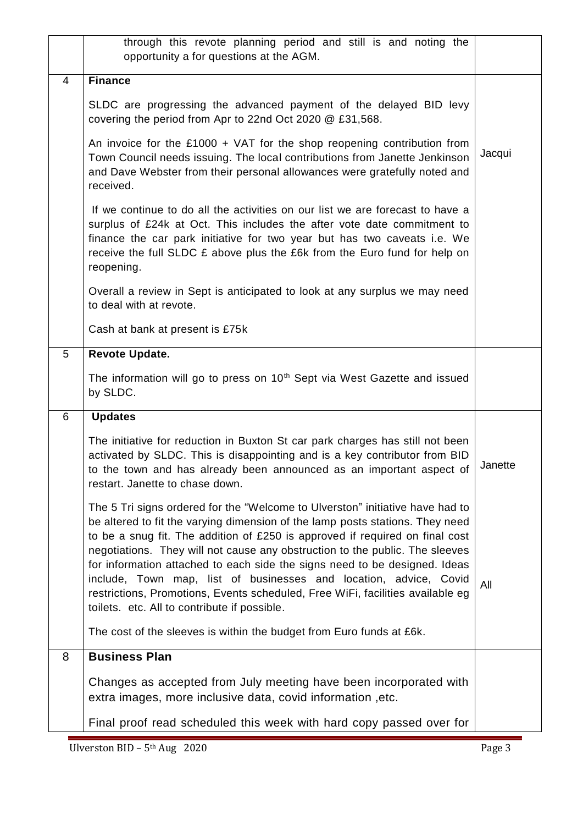|   | through this revote planning period and still is and noting the<br>opportunity a for questions at the AGM.                                                                                                                                                                                                                                                                                                                                                                                                                                                                                                          |         |
|---|---------------------------------------------------------------------------------------------------------------------------------------------------------------------------------------------------------------------------------------------------------------------------------------------------------------------------------------------------------------------------------------------------------------------------------------------------------------------------------------------------------------------------------------------------------------------------------------------------------------------|---------|
| 4 | <b>Finance</b>                                                                                                                                                                                                                                                                                                                                                                                                                                                                                                                                                                                                      |         |
|   | SLDC are progressing the advanced payment of the delayed BID levy<br>covering the period from Apr to 22nd Oct 2020 @ £31,568.                                                                                                                                                                                                                                                                                                                                                                                                                                                                                       |         |
|   | An invoice for the £1000 + VAT for the shop reopening contribution from<br>Town Council needs issuing. The local contributions from Janette Jenkinson<br>and Dave Webster from their personal allowances were gratefully noted and<br>received.                                                                                                                                                                                                                                                                                                                                                                     |         |
|   | If we continue to do all the activities on our list we are forecast to have a<br>surplus of £24k at Oct. This includes the after vote date commitment to<br>finance the car park initiative for two year but has two caveats i.e. We<br>receive the full SLDC $E$ above plus the $E6k$ from the Euro fund for help on<br>reopening.                                                                                                                                                                                                                                                                                 |         |
|   | Overall a review in Sept is anticipated to look at any surplus we may need<br>to deal with at revote.                                                                                                                                                                                                                                                                                                                                                                                                                                                                                                               |         |
|   | Cash at bank at present is £75k                                                                                                                                                                                                                                                                                                                                                                                                                                                                                                                                                                                     |         |
| 5 | Revote Update.                                                                                                                                                                                                                                                                                                                                                                                                                                                                                                                                                                                                      |         |
|   | The information will go to press on 10 <sup>th</sup> Sept via West Gazette and issued<br>by SLDC.                                                                                                                                                                                                                                                                                                                                                                                                                                                                                                                   |         |
| 6 | <b>Updates</b>                                                                                                                                                                                                                                                                                                                                                                                                                                                                                                                                                                                                      |         |
|   | The initiative for reduction in Buxton St car park charges has still not been<br>activated by SLDC. This is disappointing and is a key contributor from BID<br>to the town and has already been announced as an important aspect of<br>restart. Janette to chase down.                                                                                                                                                                                                                                                                                                                                              | Janette |
|   | The 5 Tri signs ordered for the "Welcome to Ulverston" initiative have had to<br>be altered to fit the varying dimension of the lamp posts stations. They need<br>to be a snug fit. The addition of £250 is approved if required on final cost<br>negotiations. They will not cause any obstruction to the public. The sleeves<br>for information attached to each side the signs need to be designed. Ideas<br>include, Town map, list of businesses and location, advice, Covid<br>restrictions, Promotions, Events scheduled, Free WiFi, facilities available eg<br>toilets. etc. All to contribute if possible. | All     |
|   | The cost of the sleeves is within the budget from Euro funds at £6k.                                                                                                                                                                                                                                                                                                                                                                                                                                                                                                                                                |         |
| 8 | <b>Business Plan</b>                                                                                                                                                                                                                                                                                                                                                                                                                                                                                                                                                                                                |         |
|   | Changes as accepted from July meeting have been incorporated with<br>extra images, more inclusive data, covid information, etc.                                                                                                                                                                                                                                                                                                                                                                                                                                                                                     |         |
|   | Final proof read scheduled this week with hard copy passed over for                                                                                                                                                                                                                                                                                                                                                                                                                                                                                                                                                 |         |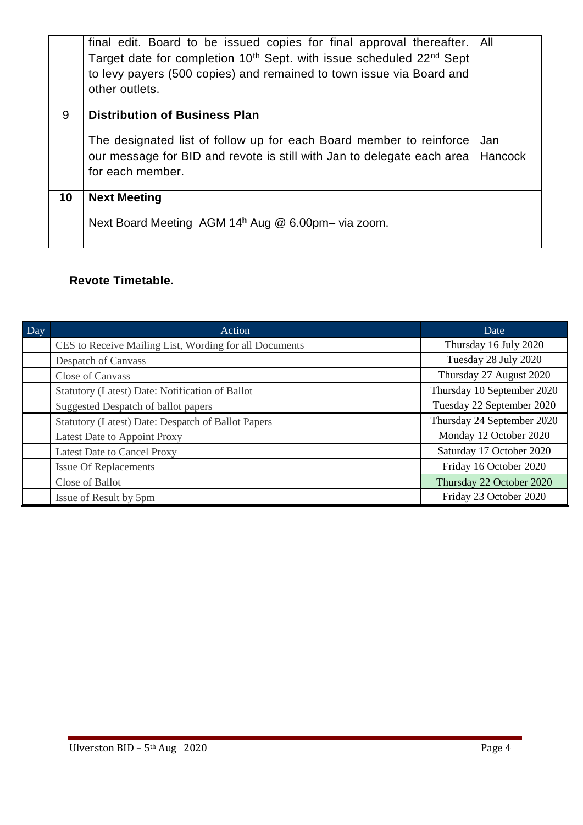|    | final edit. Board to be issued copies for final approval thereafter.<br>Target date for completion 10 <sup>th</sup> Sept. with issue scheduled 22 <sup>nd</sup> Sept<br>to levy payers (500 copies) and remained to town issue via Board and<br>other outlets. | All     |  |
|----|----------------------------------------------------------------------------------------------------------------------------------------------------------------------------------------------------------------------------------------------------------------|---------|--|
| 9  | <b>Distribution of Business Plan</b>                                                                                                                                                                                                                           |         |  |
|    | The designated list of follow up for each Board member to reinforce<br>Jan                                                                                                                                                                                     |         |  |
|    | our message for BID and revote is still with Jan to delegate each area                                                                                                                                                                                         | Hancock |  |
|    | for each member.                                                                                                                                                                                                                                               |         |  |
| 10 | <b>Next Meeting</b>                                                                                                                                                                                                                                            |         |  |
|    | Next Board Meeting AGM 14h Aug @ 6.00pm- via zoom.                                                                                                                                                                                                             |         |  |
|    |                                                                                                                                                                                                                                                                |         |  |

## **Revote Timetable.**

| Day | <b>Action</b>                                          | Date                       |
|-----|--------------------------------------------------------|----------------------------|
|     | CES to Receive Mailing List, Wording for all Documents | Thursday 16 July 2020      |
|     | Despatch of Canvass                                    | Tuesday 28 July 2020       |
|     | Close of Canvass                                       | Thursday 27 August 2020    |
|     | Statutory (Latest) Date: Notification of Ballot        | Thursday 10 September 2020 |
|     | Suggested Despatch of ballot papers                    | Tuesday 22 September 2020  |
|     | Statutory (Latest) Date: Despatch of Ballot Papers     | Thursday 24 September 2020 |
|     | Latest Date to Appoint Proxy                           | Monday 12 October 2020     |
|     | <b>Latest Date to Cancel Proxy</b>                     | Saturday 17 October 2020   |
|     | <b>Issue Of Replacements</b>                           | Friday 16 October 2020     |
|     | Close of Ballot                                        | Thursday 22 October 2020   |
|     | Issue of Result by 5pm                                 | Friday 23 October 2020     |